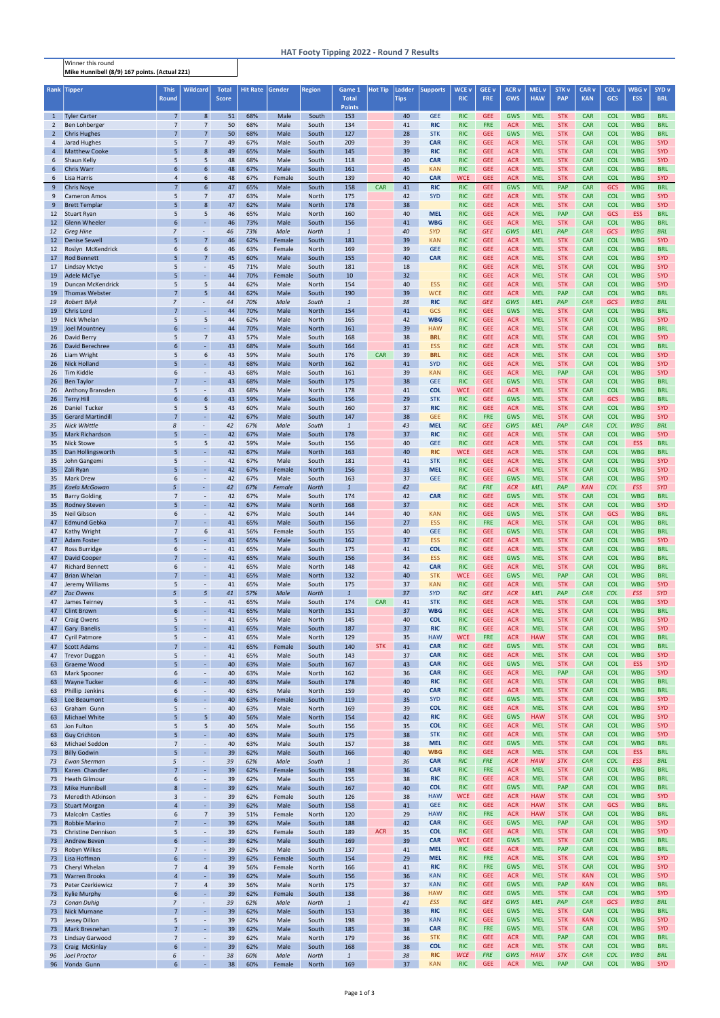Winner this round Mike Hunnibell (8/9) 167 points. (Actual 221)

| Rank            | Tipper                                           | <b>This</b><br>Round               | <b>Wildcard</b>                      | <b>Total</b><br><b>Score</b> | <b>Hit Rate</b> | Gender         | <b>Region</b>         | Game 1<br><b>Total</b> | <b>Hot Tip</b> | Ladder<br><b>Tips</b> | <b>Supports</b>          | WCE <sub>v</sub><br><b>RIC</b> | GEE v<br><b>FRE</b>      | <b>ACR v</b><br><b>GWS</b> | <b>MEL v</b><br><b>HAW</b> | STK <sub>v</sub><br><b>PAP</b> | CAR <sub>v</sub><br><b>KAN</b> | COL <sub>v</sub><br>GCS  | WBG v<br><b>ESS</b>      | SYD <sub>v</sub><br><b>BRL</b> |
|-----------------|--------------------------------------------------|------------------------------------|--------------------------------------|------------------------------|-----------------|----------------|-----------------------|------------------------|----------------|-----------------------|--------------------------|--------------------------------|--------------------------|----------------------------|----------------------------|--------------------------------|--------------------------------|--------------------------|--------------------------|--------------------------------|
| $\mathbf{1}$    | <b>Tyler Carter</b>                              | $7\overline{ }$                    | 8                                    | 51                           | 68%             | Male           | South                 | <b>Points</b><br>153   |                | 40                    | <b>GEE</b>               | <b>RIC</b>                     | <b>GEE</b>               | <b>GWS</b>                 | <b>MEL</b>                 | <b>STK</b>                     | <b>CAR</b>                     | <b>COL</b>               | <b>WBG</b>               | <b>BRL</b>                     |
| $\overline{2}$  | Ben Lohberger                                    | $\overline{7}$                     | $\overline{7}$                       | 50                           | 68%             | Male           | South                 | 134                    |                | 41                    | <b>RIC</b>               | <b>RIC</b>                     | <b>FRE</b>               | <b>ACR</b>                 | <b>MEL</b>                 | <b>STK</b>                     | <b>CAR</b>                     | <b>COL</b>               | <b>WBG</b>               | <b>BRL</b>                     |
| $\overline{2}$  | <b>Chris Hughes</b>                              | $\overline{7}$                     | $\overline{7}$                       | 50                           | 68%             | Male           | South                 | 127                    |                | 28                    | <b>STK</b>               | <b>RIC</b>                     | <b>GEE</b>               | <b>GWS</b>                 | <b>MEL</b>                 | <b>STK</b>                     | <b>CAR</b>                     | <b>COL</b>               | <b>WBG</b>               | <b>BRL</b>                     |
| 4<br>4          | Jarad Hughes<br><b>Matthew Cooke</b>             | 5<br>5                             | $\overline{7}$<br>8                  | 49<br>49                     | 67%<br>65%      | Male<br>Male   | South<br>South        | 209<br>145             |                | 39<br>39              | <b>CAR</b><br><b>RIC</b> | <b>RIC</b><br><b>RIC</b>       | <b>GEE</b><br><b>GEE</b> | <b>ACR</b><br><b>ACR</b>   | <b>MEL</b><br><b>MEL</b>   | <b>STK</b><br><b>STK</b>       | <b>CAR</b><br><b>CAR</b>       | <b>COL</b><br><b>COL</b> | <b>WBG</b><br><b>WBG</b> | <b>SYD</b><br><b>SYD</b>       |
| 6               | Shaun Kelly                                      | 5                                  | 5                                    | 48                           | 68%             | Male           | South                 | 118                    |                | 40                    | <b>CAR</b>               | <b>RIC</b>                     | <b>GEE</b>               | <b>ACR</b>                 | <b>MEL</b>                 | <b>STK</b>                     | <b>CAR</b>                     | <b>COL</b>               | <b>WBG</b>               | <b>SYD</b>                     |
| $6\overline{6}$ | <b>Chris Warr</b>                                | 6                                  | 6                                    | 48                           | 67%             | Male           | South                 | 161                    |                | 45                    | <b>KAN</b>               | <b>RIC</b>                     | <b>GEE</b>               | <b>ACR</b>                 | <b>MEL</b>                 | <b>STK</b>                     | <b>CAR</b>                     | <b>COL</b>               | <b>WBG</b>               | <b>BRL</b>                     |
| 6<br>9          | Lisa Harris<br><b>Chris Noye</b>                 | $\overline{4}$<br>$\overline{7}$   | 6<br>6                               | 48<br>47                     | 67%<br>65%      | Female<br>Male | South<br>South        | 139<br>158             | <b>CAR</b>     | 40<br>41              | <b>CAR</b><br><b>RIC</b> | <b>WCE</b><br><b>RIC</b>       | <b>GEE</b><br><b>GEE</b> | <b>ACR</b><br><b>GWS</b>   | <b>MEL</b><br><b>MEL</b>   | <b>STK</b><br><b>PAP</b>       | <b>CAR</b><br><b>CAR</b>       | <b>COL</b><br><b>GCS</b> | <b>WBG</b><br><b>WBG</b> | <b>SYD</b><br><b>BRL</b>       |
| 9               | <b>Cameron Amos</b>                              | 5                                  | $\overline{7}$                       | 47                           | 63%             | Male           | North                 | 175                    |                | 42                    | <b>SYD</b>               | <b>RIC</b>                     | <b>GEE</b>               | <b>ACR</b>                 | <b>MEL</b>                 | <b>STK</b>                     | <b>CAR</b>                     | <b>COL</b>               | <b>WBG</b>               | <b>SYD</b>                     |
| 9               | <b>Brett Templar</b>                             | 5                                  | 8                                    | 47                           | 62%             | Male           | <b>North</b>          | 178                    |                | 38                    |                          | <b>RIC</b>                     | <b>GEE</b>               | <b>ACR</b>                 | <b>MEL</b>                 | <b>STK</b>                     | <b>CAR</b>                     | <b>COL</b>               | <b>WBG</b>               | <b>SYD</b>                     |
| 12<br>12        | <b>Stuart Ryan</b><br><b>Glenn Wheeler</b>       | 5<br>6                             | 5                                    | 46<br>46                     | 65%<br>73%      | Male<br>Male   | North<br>South        | 160<br>156             |                | 40<br>41              | <b>MEL</b><br><b>WBG</b> | <b>RIC</b><br><b>RIC</b>       | <b>GEE</b><br><b>GEE</b> | <b>ACR</b><br><b>ACR</b>   | <b>MEL</b><br><b>MEL</b>   | <b>PAP</b><br><b>STK</b>       | <b>CAR</b><br><b>CAR</b>       | GCS<br><b>COL</b>        | <b>ESS</b><br><b>WBG</b> | <b>BRL</b><br><b>BRL</b>       |
| 12              | <b>Greg Hine</b>                                 | $\overline{7}$                     | $\overline{\phantom{a}}$             | 46                           | 73%             | Male           | North                 | $\mathbf{1}$           |                | 40                    | <b>SYD</b>               | <b>RIC</b>                     | <b>GEE</b>               | GWS                        | <b>MEL</b>                 | PAP                            | <b>CAR</b>                     | GCS                      | <b>WBG</b>               | <b>BRL</b>                     |
| 12              | <b>Denise Sewell</b>                             | 5                                  | $\overline{7}$<br>6                  | 46<br>46                     | 62%<br>63%      | Female         | South                 | 181<br>169             |                | 39<br>39              | <b>KAN</b><br><b>GEE</b> | <b>RIC</b><br><b>RIC</b>       | <b>GEE</b><br><b>GEE</b> | <b>ACR</b>                 | <b>MEL</b><br><b>MEL</b>   | <b>STK</b><br><b>STK</b>       | <b>CAR</b><br><b>CAR</b>       | <b>COL</b><br><b>COL</b> | <b>WBG</b><br><b>WBG</b> | <b>SYD</b><br><b>BRL</b>       |
| 12<br>17        | Roslyn McKendrick<br><b>Rod Bennett</b>          | 6<br>5                             | $\overline{7}$                       | 45                           | 60%             | Female<br>Male | North<br>South        | 155                    |                | 40                    | <b>CAR</b>               | <b>RIC</b>                     | <b>GEE</b>               | <b>ACR</b><br><b>ACR</b>   | <b>MEL</b>                 | <b>STK</b>                     | <b>CAR</b>                     | <b>COL</b>               | <b>WBG</b>               | <b>SYD</b>                     |
| 17              | <b>Lindsay Mctye</b>                             | 5                                  | $\overline{\phantom{a}}$             | 45                           | 71%             | Male           | South                 | 181                    |                | 18                    |                          | <b>RIC</b>                     | <b>GEE</b>               | <b>ACR</b>                 | <b>MEL</b>                 | <b>STK</b>                     | <b>CAR</b>                     | <b>COL</b>               | <b>WBG</b>               | <b>SYD</b>                     |
| 19<br>19        | Adele McTye<br>Duncan McKendrick                 | 5<br>5                             | C,<br>5                              | 44<br>44                     | 70%<br>62%      | Female<br>Male | South<br>North        | 10<br>154              |                | 32<br>40              | <b>ESS</b>               | <b>RIC</b><br><b>RIC</b>       | <b>GEE</b><br><b>GEE</b> | <b>ACR</b><br><b>ACR</b>   | <b>MEL</b><br><b>MEL</b>   | <b>STK</b><br><b>STK</b>       | <b>CAR</b><br><b>CAR</b>       | <b>COL</b><br><b>COL</b> | <b>WBG</b><br><b>WBG</b> | <b>SYD</b><br><b>SYD</b>       |
| 19              | <b>Thomas Webster</b>                            | $\overline{7}$                     | 5                                    | 44                           | 62%             | Male           | South                 | 190                    |                | 39                    | <b>WCE</b>               | <b>RIC</b>                     | <b>GEE</b>               | <b>ACR</b>                 | <b>MEL</b>                 | PAP                            | <b>CAR</b>                     | <b>COL</b>               | <b>WBG</b>               | <b>BRL</b>                     |
| 19              | <b>Robert Bilyk</b>                              | $\overline{7}$                     |                                      | 44                           | 70%             | Male           | South                 | $\mathbf{1}$           |                | 38                    | <b>RIC</b>               | <b>RIC</b>                     | <b>GEE</b>               | GWS                        | <b>MEL</b>                 | PAP                            | <b>CAR</b>                     | GCS                      | <b>WBG</b>               | <b>BRL</b>                     |
| 19<br>19        | Chris Lord<br>Nick Whelan                        | $\overline{7}$<br>5                | 5                                    | 44<br>44                     | 70%<br>62%      | Male<br>Male   | <b>North</b><br>North | 154<br>165             |                | 41<br>42              | GCS<br><b>WBG</b>        | <b>RIC</b><br><b>RIC</b>       | <b>GEE</b><br><b>GEE</b> | <b>GWS</b><br><b>ACR</b>   | <b>MEL</b><br><b>MEL</b>   | <b>STK</b><br><b>STK</b>       | <b>CAR</b><br><b>CAR</b>       | <b>COL</b><br><b>COL</b> | <b>WBG</b><br><b>WBG</b> | <b>BRL</b><br><b>SYD</b>       |
| 19              | <b>Joel Mountney</b>                             | 6                                  |                                      | 44                           | 70%             | Male           | <b>North</b>          | 161                    |                | 39                    | <b>HAW</b>               | <b>RIC</b>                     | <b>GEE</b>               | <b>ACR</b>                 | <b>MEL</b>                 | <b>STK</b>                     | <b>CAR</b>                     | <b>COL</b>               | <b>WBG</b>               | <b>BRL</b>                     |
| 26              | David Berry                                      | 5                                  | $\overline{7}$                       | 43                           | 57%             | Male           | South                 | 168                    |                | 38                    | <b>BRL</b>               | <b>RIC</b>                     | <b>GEE</b>               | <b>ACR</b>                 | <b>MEL</b>                 | <b>STK</b>                     | <b>CAR</b>                     | <b>COL</b>               | <b>WBG</b>               | <b>SYD</b>                     |
| 26<br>26        | <b>David Berechree</b><br>Liam Wright            | 6<br>5                             | L.<br>6                              | 43<br>43                     | 68%<br>59%      | Male<br>Male   | South<br>South        | 164<br>176             | <b>CAR</b>     | 41<br>39              | <b>ESS</b><br><b>BRL</b> | <b>RIC</b><br><b>RIC</b>       | <b>GEE</b><br><b>GEE</b> | <b>ACR</b><br><b>ACR</b>   | <b>MEL</b><br><b>MEL</b>   | <b>STK</b><br><b>STK</b>       | <b>CAR</b><br><b>CAR</b>       | <b>COL</b><br><b>COL</b> | <b>WBG</b><br><b>WBG</b> | <b>BRL</b><br><b>SYD</b>       |
| 26              | <b>Nick Holland</b>                              | 5                                  |                                      | 43                           | 68%             | Male           | <b>North</b>          | 162                    |                | 41                    | <b>SYD</b>               | <b>RIC</b>                     | <b>GEE</b>               | <b>ACR</b>                 | <b>MEL</b>                 | <b>STK</b>                     | <b>CAR</b>                     | <b>COL</b>               | <b>WBG</b>               | <b>SYD</b>                     |
| 26              | Tim Kiddle                                       | 6                                  | $\sim$                               | 43                           | 68%             | Male           | South                 | 161                    |                | 39                    | <b>KAN</b>               | <b>RIC</b>                     | <b>GEE</b>               | <b>ACR</b>                 | <b>MEL</b>                 | <b>PAP</b>                     | <b>CAR</b>                     | <b>COL</b>               | <b>WBG</b>               | <b>SYD</b>                     |
| 26<br>26        | <b>Ben Taylor</b><br>Anthony Bransden            | $\overline{7}$<br>5                |                                      | 43<br>43                     | 68%<br>68%      | Male<br>Male   | South<br>North        | 175<br>178             |                | 38<br>41              | <b>GEE</b><br><b>COL</b> | <b>RIC</b><br><b>WCE</b>       | <b>GEE</b><br><b>GEE</b> | <b>GWS</b><br><b>ACR</b>   | <b>MEL</b><br><b>MEL</b>   | <b>STK</b><br><b>STK</b>       | <b>CAR</b><br><b>CAR</b>       | <b>COL</b><br><b>COL</b> | <b>WBG</b><br><b>WBG</b> | <b>BRL</b><br><b>BRL</b>       |
| 26              | <b>Terry Hill</b>                                | 6                                  | 6                                    | 43                           | 59%             | Male           | South                 | 156                    |                | 29                    | <b>STK</b>               | <b>RIC</b>                     | <b>GEE</b>               | <b>GWS</b>                 | <b>MEL</b>                 | <b>STK</b>                     | <b>CAR</b>                     | GCS                      | <b>WBG</b>               | <b>BRL</b>                     |
| 26              | Daniel Tucker<br><b>Gerard Martindill</b>        | 5<br>$\overline{7}$                | 5<br>÷                               | 43<br>42                     | 60%<br>67%      | Male<br>Male   | South<br>South        | 160<br>147             |                | 37<br>38              | <b>RIC</b><br><b>GEE</b> | <b>RIC</b><br><b>RIC</b>       | <b>GEE</b><br><b>FRE</b> | <b>ACR</b><br><b>GWS</b>   | <b>MEL</b><br><b>MEL</b>   | <b>STK</b><br><b>STK</b>       | <b>CAR</b>                     | <b>COL</b><br><b>COL</b> | <b>WBG</b><br><b>WBG</b> | <b>SYD</b><br><b>SYD</b>       |
| 35<br>35        | <b>Nick Whittle</b>                              | 8                                  | $\blacksquare$                       | 42                           | 67%             | Male           | South                 | $\mathbf{1}$           |                | 43                    | <b>MEL</b>               | <b>RIC</b>                     | <b>GEE</b>               | GWS                        | <b>MEL</b>                 | PAP                            | <b>CAR</b><br><b>CAR</b>       | <b>COL</b>               | <b>WBG</b>               | <b>BRL</b>                     |
| 35 <sub>2</sub> | <b>Mark Richardson</b>                           | 5                                  | ۰                                    | 42                           | 67%             | Male           | South                 | 178                    |                | 37                    | <b>RIC</b>               | <b>RIC</b>                     | <b>GEE</b>               | <b>ACR</b>                 | <b>MEL</b>                 | <b>STK</b>                     | <b>CAR</b>                     | <b>COL</b>               | <b>WBG</b>               | <b>SYD</b>                     |
| 35<br>35        | <b>Nick Stowe</b><br>Dan Hollingsworth           | 5<br>5                             | 5                                    | 42<br>42                     | 59%<br>67%      | Male<br>Male   | South<br><b>North</b> | 156<br>163             |                | 40<br>40              | <b>GEE</b><br><b>RIC</b> | <b>RIC</b><br><b>WCE</b>       | <b>GEE</b><br><b>GEE</b> | <b>ACR</b><br><b>ACR</b>   | <b>MEL</b><br><b>MEL</b>   | <b>STK</b><br><b>STK</b>       | <b>CAR</b><br><b>CAR</b>       | <b>COL</b><br><b>COL</b> | <b>ESS</b><br><b>WBG</b> | <b>BRL</b><br><b>BRL</b>       |
|                 | 35 John Gangemi                                  | 5                                  |                                      | 42                           | 67%             | Male           | South                 | 181                    |                | 41                    | <b>STK</b>               | <b>RIC</b>                     | <b>GEE</b>               | <b>ACR</b>                 | <b>MEL</b>                 | <b>STK</b>                     | <b>CAR</b>                     | <b>COL</b>               | <b>WBG</b>               | <b>SYD</b>                     |
|                 | 35 Zali Ryan                                     | E.                                 |                                      | 42                           | 67%             | Female         | North                 | 156                    |                | 33                    | <b>MEL</b>               | <b>RIC</b>                     | <b>GEE</b>               | <b>ACR</b>                 | <b>MEL</b>                 | <b>STK</b>                     | <b>CAR</b>                     | <b>COL</b>               | <b>WBG</b>               | <b>SYD</b>                     |
| 35<br>35        | <b>Mark Drew</b><br>Kaela McGowan                | 6<br>5                             | $\sim$                               | 42<br>42                     | 67%<br>67%      | Male<br>Female | South<br><b>North</b> | 163<br>$\mathbf{1}$    |                | 37<br>42              | <b>GEE</b>               | <b>RIC</b><br><b>RIC</b>       | <b>GEE</b><br><b>FRE</b> | <b>GWS</b><br><b>ACR</b>   | <b>MEL</b><br><b>MEL</b>   | <b>STK</b><br><b>PAP</b>       | <b>CAR</b><br><b>KAN</b>       | <b>COL</b><br><b>COL</b> | <b>WBG</b><br><b>ESS</b> | <b>SYD</b><br><b>SYD</b>       |
| 35              | <b>Barry Golding</b>                             | $\overline{7}$                     | $\overline{\phantom{a}}$             | 42                           | 67%             | Male           | South                 | 174                    |                | 42                    | <b>CAR</b>               | <b>RIC</b>                     | <b>GEE</b>               | <b>GWS</b>                 | <b>MEL</b>                 | <b>STK</b>                     | <b>CAR</b>                     | <b>COL</b>               | <b>WBG</b>               | <b>BRL</b>                     |
| 35              | <b>Rodney Steven</b>                             | 5                                  |                                      | 42                           | 67%             | Male           | <b>North</b>          | 168                    |                | 37                    |                          | <b>RIC</b>                     | <b>GEE</b>               | <b>ACR</b>                 | <b>MEL</b>                 | <b>STK</b>                     | <b>CAR</b>                     | <b>COL</b>               | <b>WBG</b>               | <b>SYD</b>                     |
| 35<br>47        | <b>Neil Gibson</b><br><b>Edmund Gebka</b>        | 6<br>$\overline{7}$                | $\overline{\phantom{a}}$             | 42<br>41                     | 67%<br>65%      | Male<br>Male   | South<br>South        | 144<br>156             |                | 40<br>27              | <b>KAN</b><br><b>ESS</b> | <b>RIC</b><br><b>RIC</b>       | <b>GEE</b><br><b>FRE</b> | <b>GWS</b><br><b>ACR</b>   | <b>MEL</b><br><b>MEL</b>   | <b>STK</b><br><b>STK</b>       | <b>CAR</b><br><b>CAR</b>       | GCS<br><b>COL</b>        | <b>WBG</b><br><b>WBG</b> | <b>BRL</b><br><b>BRL</b>       |
| 47              | Kathy Wright                                     | $\overline{7}$                     | 6                                    | 41                           | 56%             | Female         | South                 | 155                    |                | 40                    | <b>GEE</b>               | <b>RIC</b>                     | <b>GEE</b>               | <b>GWS</b>                 | <b>MEL</b>                 | <b>STK</b>                     | <b>CAR</b>                     | <b>COL</b>               | <b>WBG</b>               | <b>BRL</b>                     |
| 47<br>47        | <b>Adam Foster</b><br>Ross Burridge              | 5<br>6                             |                                      | 41<br>41                     | 65%<br>65%      | Male<br>Male   | South                 | 162<br>175             |                | 37<br>41              | <b>ESS</b><br><b>COL</b> | <b>RIC</b><br><b>RIC</b>       | <b>GEE</b><br><b>GEE</b> | <b>ACR</b><br><b>ACR</b>   | <b>MEL</b><br><b>MEL</b>   | <b>STK</b><br><b>STK</b>       | <b>CAR</b><br><b>CAR</b>       | <b>COL</b><br><b>COL</b> | <b>WBG</b><br><b>WBG</b> | <b>SYD</b><br><b>BRL</b>       |
| 47              | David Cooper                                     | $\overline{7}$                     | ÷.                                   | 41                           | 65%             | Male           | South<br>South        | 156                    |                | 34                    | <b>ESS</b>               | <b>RIC</b>                     | <b>GEE</b>               | <b>GWS</b>                 | <b>MEL</b>                 | <b>STK</b>                     | <b>CAR</b>                     | <b>COL</b>               | <b>WBG</b>               | <b>BRL</b>                     |
| 47              | <b>Richard Bennett</b>                           | 6                                  | $\overline{\phantom{a}}$             | 41                           | 65%             | Male           | North                 | 148                    |                | 42                    | <b>CAR</b>               | <b>RIC</b>                     | <b>GEE</b>               | <b>ACR</b>                 | <b>MEL</b>                 | <b>STK</b>                     | <b>CAR</b>                     | <b>COL</b>               | <b>WBG</b>               | <b>BRL</b>                     |
| 47<br>47        | <b>Brian Whelan</b><br>Jeremy Williams           | $\overline{7}$<br>5                | $\omega$                             | 41<br>41                     | 65%<br>65%      | Male<br>Male   | <b>North</b><br>South | 132<br>175             |                | 40<br>37              | <b>STK</b><br><b>KAN</b> | <b>WCE</b><br><b>RIC</b>       | <b>GEE</b><br><b>GEE</b> | <b>GWS</b><br><b>ACR</b>   | <b>MEL</b><br><b>MEL</b>   | <b>PAP</b><br><b>STK</b>       | <b>CAR</b><br><b>CAR</b>       | <b>COL</b><br><b>COL</b> | <b>WBG</b><br><b>WBG</b> | <b>BRL</b><br><b>SYD</b>       |
| 47              | <b>Zac Owens</b>                                 | 5                                  | $5\overline{)}$                      | 41                           | 57%             | Male           | North                 | $\mathbf{1}$           |                | 37                    | <b>SYD</b>               | <b>RIC</b>                     | <b>GEE</b>               | <b>ACR</b>                 | <b>MEL</b>                 | PAP                            | <b>CAR</b>                     | <b>COL</b>               | <b>ESS</b>               | <b>SYD</b>                     |
| 47<br>47        | James Teirney<br><b>Clint Brown</b>              | 5<br>6                             | $\blacksquare$                       | 41<br>41                     | 65%<br>65%      | Male<br>Male   | South                 | 174<br>151             | <b>CAR</b>     | 41<br>37              | <b>STK</b><br><b>WBG</b> | <b>RIC</b><br><b>RIC</b>       | <b>GEE</b><br><b>GEE</b> | <b>ACR</b><br><b>ACR</b>   | <b>MEL</b><br><b>MEL</b>   | <b>STK</b><br><b>STK</b>       | <b>CAR</b><br><b>CAR</b>       | <b>COL</b><br><b>COL</b> | <b>WBG</b><br><b>WBG</b> | <b>SYD</b><br><b>BRL</b>       |
| 47              | <b>Craig Owens</b>                               | 5                                  | $\blacksquare$                       | 41                           | 65%             | Male           | <b>North</b><br>North | 145                    |                | 40                    | <b>COL</b>               | <b>RIC</b>                     | <b>GEE</b>               | <b>ACR</b>                 | <b>MEL</b>                 | <b>STK</b>                     | <b>CAR</b>                     | <b>COL</b>               | <b>WBG</b>               | <b>SYD</b>                     |
| 47              | Gary Banelis                                     | 5                                  | $\sim$                               | 41                           | 65%             | Male           | South                 | 187                    |                | 37                    | <b>RIC</b>               | <b>RIC</b>                     | <b>GEE</b>               | <b>ACR</b>                 | <b>MEL</b>                 | <b>STK</b>                     | <b>CAR</b>                     | <b>COL</b>               | <b>WBG</b>               | <b>SYD</b>                     |
| 47<br>47        | <b>Cyril Patmore</b><br><b>Scott Adams</b>       | 5<br>$\overline{7}$                | $\overline{\phantom{a}}$             | 41<br>41                     | 65%<br>65%      | Male<br>Female | North<br>South        | 129<br>140             | <b>STK</b>     | 35<br>41              | <b>HAW</b><br><b>CAR</b> | <b>WCE</b><br><b>RIC</b>       | <b>FRE</b><br><b>GEE</b> | <b>ACR</b><br><b>GWS</b>   | <b>HAW</b><br><b>MEL</b>   | <b>STK</b><br><b>STK</b>       | <b>CAR</b><br><b>CAR</b>       | <b>COL</b><br><b>COL</b> | <b>WBG</b><br><b>WBG</b> | <b>BRL</b><br><b>BRL</b>       |
| 47              | <b>Trevor Duggan</b>                             | 5                                  | $\blacksquare$                       | 41                           | 65%             | Male           | South                 | 143                    |                | 37                    | <b>CAR</b>               | <b>RIC</b>                     | <b>GEE</b>               | <b>ACR</b>                 | <b>MEL</b>                 | <b>STK</b>                     | <b>CAR</b>                     | <b>COL</b>               | <b>WBG</b>               | <b>SYD</b>                     |
| 63              | <b>Graeme Wood</b>                               | 5                                  |                                      | 40                           | 63%             | Male           | South                 | 167                    |                | 43                    | <b>CAR</b>               | <b>RIC</b>                     | <b>GEE</b>               | <b>GWS</b>                 | <b>MEL</b>                 | <b>STK</b>                     | <b>CAR</b>                     | <b>COL</b>               | <b>ESS</b>               | <b>SYD</b>                     |
| 63<br>63        | Mark Spooner<br><b>Wayne Tucker</b>              | 6<br>6                             | $\overline{\phantom{a}}$             | 40<br>40                     | 63%<br>63%      | Male<br>Male   | North<br>South        | 162<br>178             |                | 36<br>40              | <b>CAR</b><br><b>RIC</b> | <b>RIC</b><br><b>RIC</b>       | <b>GEE</b><br><b>GEE</b> | <b>ACR</b><br><b>ACR</b>   | <b>MEL</b><br><b>MEL</b>   | PAP<br><b>STK</b>              | <b>CAR</b><br><b>CAR</b>       | <b>COL</b><br><b>COL</b> | <b>WBG</b><br><b>WBG</b> | <b>SYD</b><br><b>BRL</b>       |
| 63              | Phillip Jenkins                                  | 6                                  | $\overline{\phantom{a}}$             | 40                           | 63%             | Male           | North                 | 159                    |                | 40                    | <b>CAR</b>               | <b>RIC</b>                     | <b>GEE</b>               | <b>ACR</b>                 | <b>MEL</b>                 | <b>STK</b>                     | <b>CAR</b>                     | <b>COL</b>               | <b>WBG</b>               | <b>BRL</b>                     |
| 63<br>63        | Lee Beaumont<br>Graham Gunn                      | 6<br>5                             | ÷.                                   | 40<br>40                     | 63%<br>63%      | Female<br>Male | South                 | 119<br>169             |                | 35<br>39              | <b>SYD</b><br><b>COL</b> | <b>RIC</b><br><b>RIC</b>       | <b>GEE</b><br><b>GEE</b> | <b>GWS</b><br><b>ACR</b>   | <b>MEL</b><br><b>MEL</b>   | <b>STK</b><br><b>STK</b>       | <b>CAR</b><br><b>CAR</b>       | <b>COL</b><br><b>COL</b> | <b>WBG</b><br><b>WBG</b> | <b>SYD</b><br><b>SYD</b>       |
| 63              | <b>Michael White</b>                             | 5                                  | 5                                    | 40                           | 56%             | Male           | North<br><b>North</b> | 154                    |                | 42                    | <b>RIC</b>               | <b>RIC</b>                     | <b>GEE</b>               | GWS                        | <b>HAW</b>                 | <b>STK</b>                     | <b>CAR</b>                     | <b>COL</b>               | <b>WBG</b>               | <b>SYD</b>                     |
| 63              | Jon Fulton                                       | 5                                  | 5                                    | 40                           | 56%             | Male           | South                 | 156                    |                | 35                    | <b>COL</b>               | <b>RIC</b>                     | <b>GEE</b>               | <b>ACR</b>                 | <b>MEL</b>                 | <b>STK</b>                     | <b>CAR</b>                     | <b>COL</b>               | <b>WBG</b>               | <b>SYD</b>                     |
| 63<br>63        | <b>Guy Crichton</b><br><b>Michael Seddon</b>     | 5<br>$\overline{7}$                | ä,                                   | 40<br>40                     | 63%<br>63%      | Male<br>Male   | South<br>South        | 175<br>157             |                | 38<br>38              | <b>STK</b><br><b>MEL</b> | <b>RIC</b><br><b>RIC</b>       | <b>GEE</b><br><b>GEE</b> | <b>ACR</b><br><b>GWS</b>   | <b>MEL</b><br><b>MEL</b>   | <b>STK</b><br><b>STK</b>       | <b>CAR</b><br><b>CAR</b>       | <b>COL</b><br><b>COL</b> | <b>WBG</b><br><b>WBG</b> | <b>SYD</b><br><b>BRL</b>       |
| 73              | <b>Billy Godwin</b>                              | 5                                  |                                      | 39                           | 62%             | Male           | South                 | 166                    |                | 40                    | <b>WBG</b>               | <b>RIC</b>                     | <b>GEE</b>               | <b>ACR</b>                 | <b>MEL</b>                 | <b>STK</b>                     | <b>CAR</b>                     | <b>COL</b>               | <b>ESS</b>               | <b>BRL</b>                     |
| 73              | <b>Ewan Sherman</b>                              | 5                                  |                                      | 39                           | 62%             | Male           | South                 | $\mathbf{1}$           |                | 36                    | <b>CAR</b>               | <b>RIC</b>                     | <b>FRE</b>               | <b>ACR</b>                 | <b>HAW</b>                 | <b>STK</b>                     | <b>CAR</b>                     | <b>COL</b>               | <b>ESS</b>               | <b>BRL</b>                     |
| 73<br>73        | Karen Chandler<br><b>Heath Gilmour</b>           | $\overline{7}$<br>6                | $\blacksquare$<br>$\blacksquare$     | 39<br>39                     | 62%<br>62%      | Female<br>Male | South<br>South        | 198<br>155             |                | 36<br>38              | <b>CAR</b><br><b>RIC</b> | <b>RIC</b><br><b>RIC</b>       | <b>FRE</b><br><b>GEE</b> | <b>ACR</b><br><b>ACR</b>   | <b>MEL</b><br><b>MEL</b>   | <b>STK</b><br><b>STK</b>       | <b>CAR</b><br><b>CAR</b>       | <b>COL</b><br><b>COL</b> | <b>WBG</b><br><b>WBG</b> | <b>BRL</b><br><b>BRL</b>       |
| 73              | <b>Mike Hunnibell</b>                            | 8                                  | $\sim$                               | 39                           | 62%             | Male           | South                 | 167                    |                | 40                    | <b>COL</b>               | <b>RIC</b>                     | <b>GEE</b>               | <b>GWS</b>                 | <b>MEL</b>                 | <b>PAP</b>                     | <b>CAR</b>                     | <b>COL</b>               | <b>WBG</b>               | <b>BRL</b>                     |
| 73              | <b>Meredith Atkinson</b>                         | $\overline{3}$                     | $\overline{\phantom{a}}$             | 39                           | 62%             | Female         | South                 | 126                    |                | 38                    | <b>HAW</b>               | <b>WCE</b>                     | <b>GEE</b>               | <b>ACR</b>                 | <b>HAW</b>                 | <b>STK</b>                     | <b>CAR</b>                     | <b>COL</b>               | <b>WBG</b>               | <b>SYD</b>                     |
| 73<br>73        | <b>Stuart Morgan</b><br><b>Malcolm Castles</b>   | $\Delta$<br>6                      | $\overline{7}$                       | 39<br>39                     | 62%<br>51%      | Male<br>Female | South<br>North        | 158<br>120             |                | 41<br>29              | <b>GEE</b><br><b>HAW</b> | <b>RIC</b><br><b>RIC</b>       | <b>GEE</b><br><b>FRE</b> | <b>ACR</b><br><b>ACR</b>   | <b>HAW</b><br><b>HAW</b>   | <b>STK</b><br><b>STK</b>       | <b>CAR</b><br><b>CAR</b>       | GCS<br><b>COL</b>        | <b>WBG</b><br><b>WBG</b> | <b>BRL</b><br><b>BRL</b>       |
| 73              | <b>Robbie Marino</b>                             | $\overline{7}$                     |                                      | 39                           | 62%             | Male           | South                 | 188                    |                | 42                    | <b>CAR</b>               | <b>RIC</b>                     | <b>GEE</b>               | <b>GWS</b>                 | <b>MEL</b>                 | <b>PAP</b>                     | <b>CAR</b>                     | <b>COL</b>               | <b>WBG</b>               | <b>SYD</b>                     |
| 73<br>73        | <b>Christine Dennison</b><br><b>Andrew Beven</b> | 5<br>6                             | $\overline{\phantom{a}}$             | 39<br>39                     | 62%<br>62%      | Female<br>Male | South<br>South        | 189<br>169             | <b>ACR</b>     | 35<br>39              | <b>COL</b><br><b>CAR</b> | <b>RIC</b><br><b>WCE</b>       | <b>GEE</b><br><b>GEE</b> | <b>ACR</b><br><b>GWS</b>   | <b>MEL</b><br><b>MEL</b>   | <b>STK</b><br><b>STK</b>       | <b>CAR</b><br><b>CAR</b>       | <b>COL</b><br><b>COL</b> | <b>WBG</b><br><b>WBG</b> | <b>SYD</b><br><b>BRL</b>       |
|                 | 73 Robyn Wilkes                                  | $\overline{7}$                     |                                      | 39                           | 62%             | Male           | South                 | 137                    |                | 41                    | <b>MEL</b>               | <b>RIC</b>                     | <b>GEE</b>               | <b>ACR</b>                 | <b>MEL</b>                 | PAP                            | <b>CAR</b>                     | <b>COL</b>               | <b>WBG</b>               | <b>BRL</b>                     |
| 73              | Lisa Hoffman                                     | $6\phantom{1}6$                    | $\sim$                               | 39                           | 62%             | Female         | South                 | 154                    |                | 29                    | <b>MEL</b>               | <b>RIC</b>                     | <b>FRE</b>               | <b>ACR</b>                 | <b>MEL</b>                 | <b>STK</b>                     | <b>CAR</b>                     | <b>COL</b>               | <b>WBG</b>               | <b>SYD</b>                     |
| 73<br>73        | Cheryl Whelan<br><b>Warren Brooks</b>            | $\overline{7}$<br>$\overline{4}$   | 4<br>$\omega$                        | 39<br>39                     | 56%<br>62%      | Female<br>Male | North<br>South        | 166<br>156             |                | 41<br>36              | <b>RIC</b><br><b>KAN</b> | <b>RIC</b><br><b>RIC</b>       | <b>FRE</b><br><b>GEE</b> | <b>GWS</b><br><b>ACR</b>   | <b>MEL</b><br><b>MEL</b>   | <b>STK</b><br><b>STK</b>       | <b>CAR</b><br><b>KAN</b>       | <b>COL</b><br><b>COL</b> | <b>WBG</b><br><b>WBG</b> | <b>SYD</b><br><b>SYD</b>       |
| 73              | Peter Czerkiewicz                                | $\overline{7}$                     | 4                                    | 39                           | 56%             | Male           | North                 | 175                    |                | 37                    | <b>KAN</b>               | <b>RIC</b>                     | <b>GEE</b>               | <b>GWS</b>                 | <b>MEL</b>                 | <b>PAP</b>                     | <b>KAN</b>                     | <b>COL</b>               | <b>WBG</b>               | <b>BRL</b>                     |
| 73              | <b>Kylie Murphy</b>                              | $6\phantom{1}6$                    | $\omega$                             | 39                           | 62%             | Female         | South                 | 138                    |                | 36                    | <b>HAW</b>               | <b>RIC</b>                     | <b>GEE</b>               | <b>GWS</b>                 | <b>MEL</b>                 | <b>STK</b>                     | <b>CAR</b>                     | <b>COL</b>               | <b>WBG</b>               | <b>SYD</b>                     |
| 73<br>73        | <b>Conan Duhig</b><br><b>Nick Murnane</b>        | $\overline{7}$<br>$\overline{7}$   | $\sim$<br>$\omega$                   | 39<br>39                     | 62%<br>62%      | Male<br>Male   | North<br>South        | $\mathbf{1}$<br>153    |                | 41<br>38              | <b>ESS</b><br><b>RIC</b> | RIC<br><b>RIC</b>              | <b>GEE</b><br><b>GEE</b> | <b>GWS</b><br><b>GWS</b>   | <b>MEL</b><br><b>MEL</b>   | PAP<br><b>STK</b>              | CAR<br><b>CAR</b>              | GCS<br><b>COL</b>        | <b>WBG</b><br><b>WBG</b> | <b>BRL</b><br><b>BRL</b>       |
| 73              | <b>Jessey Dillon</b>                             | 5                                  | $\sim$                               | 39                           | 62%             | Male           | South                 | 198                    |                | 39                    | <b>KAN</b>               | <b>RIC</b>                     | <b>GEE</b>               | <b>GWS</b>                 | <b>MEL</b>                 | <b>STK</b>                     | <b>KAN</b>                     | <b>COL</b>               | <b>WBG</b>               | <b>SYD</b>                     |
| 73              | <b>Mark Bresnehan</b>                            | $\overline{7}$                     | $\omega$                             | 39                           | 62%             | Male           | South                 | 185                    |                | 38                    | <b>CAR</b>               | <b>RIC</b>                     | <b>FRE</b>               | <b>GWS</b>                 | <b>MEL</b>                 | <b>STK</b>                     | <b>CAR</b>                     | <b>COL</b>               | <b>WBG</b>               | <b>SYD</b>                     |
| 73<br>73        | <b>Lindsay Garwood</b><br>Craig McKinlay         | $\overline{7}$<br>$\boldsymbol{6}$ | $\overline{\phantom{a}}$<br>$\omega$ | 39<br>39                     | 62%<br>62%      | Male<br>Male   | North<br>South        | 179<br>168             |                | 36<br>38              | <b>STK</b><br><b>COL</b> | <b>RIC</b><br><b>RIC</b>       | <b>GEE</b><br><b>GEE</b> | <b>ACR</b><br><b>ACR</b>   | <b>MEL</b><br><b>MEL</b>   | <b>PAP</b><br><b>STK</b>       | <b>CAR</b><br><b>CAR</b>       | <b>COL</b><br><b>COL</b> | <b>WBG</b><br><b>WBG</b> | <b>BRL</b><br><b>BRL</b>       |
| 96              | Joel Proctor                                     | 6                                  | $\sim$                               | 38                           | 60%             | Male           | North                 | $\mathbf{1}$           |                | 38                    | <b>RIC</b>               | <b>WCE</b>                     | <b>FRE</b>               | GWS                        | <b>HAW</b>                 | <b>STK</b>                     | CAR                            | <b>COL</b>               | <b>WBG</b>               | <b>BRL</b>                     |
|                 | 96 Vonda Gunn                                    | $6 \overline{6}$                   | $\omega$                             | 38                           | 60%             | Female         | North                 | 169                    |                | 37                    | <b>KAN</b>               | <b>RIC</b>                     | <b>GEE</b>               | <b>ACR</b>                 | <b>MEL</b>                 | <b>PAP</b>                     | <b>CAR</b>                     | <b>COL</b>               | <b>WBG</b>               | <b>SYD</b>                     |

## HAT Footy Tipping 2022 - Round 7 Results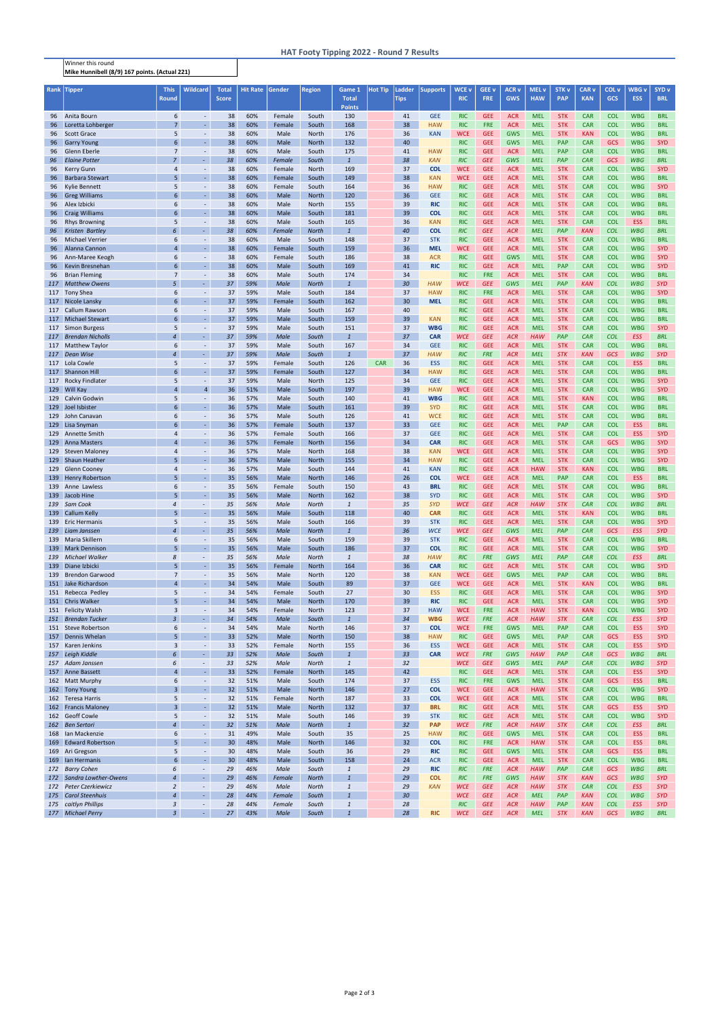## Winner this round Mike Hunnibell (8/9) 167 points. (Actual 221)

## HAT Footy Tipping 2022 - Round 7 Results

| Rank       | <b>Tipper</b>                                  | <b>This</b>          | <b>Wildcard</b>                            | Total                 | <b>Hit Rate</b> | Gender           | Region                       | Game 1                         | <b>Hot Tip</b> | Ladder                | <b>Supports</b>          | WCE v                    | <b>GEE v</b>             | ACR <sub>V</sub>         | MEL <sub>v</sub>         | STK <sub>v</sub>         | CAR <sub>v</sub>         | COL <sub>v</sub>         | WBG <sub>v</sub>         | SYD <sub>v</sub>         |
|------------|------------------------------------------------|----------------------|--------------------------------------------|-----------------------|-----------------|------------------|------------------------------|--------------------------------|----------------|-----------------------|--------------------------|--------------------------|--------------------------|--------------------------|--------------------------|--------------------------|--------------------------|--------------------------|--------------------------|--------------------------|
|            |                                                | <b>Round</b>         |                                            | <b>Score</b>          |                 |                  |                              | <b>Total</b><br><b>Points</b>  |                | <b>Tips</b>           |                          | <b>RIC</b>               | <b>FRE</b>               | <b>GWS</b>               | <b>HAW</b>               | <b>PAP</b>               | <b>KAN</b>               | <b>GCS</b>               | <b>ESS</b>               | <b>BRL</b>               |
| 96         | Anita Bourn                                    | 6                    | $\sim$                                     | 38                    | 60%             | Female           | South                        | 130                            |                | 41                    | <b>GEE</b>               | <b>RIC</b>               | <b>GEE</b>               | <b>ACR</b>               | <b>MEL</b>               | <b>STK</b>               | <b>CAR</b>               | <b>COL</b>               | <b>WBG</b>               | <b>BRL</b>               |
| 96         | Loretta Lohberger                              | $\overline{7}$       | ä,                                         | 38                    | 60%             | Female           | South                        | 168                            |                | 38                    | <b>HAW</b>               | <b>RIC</b>               | <b>FRE</b>               | <b>ACR</b>               | <b>MEL</b>               | <b>STK</b>               | <b>CAR</b>               | <b>COL</b>               | <b>WBG</b>               | <b>BRL</b>               |
| 96         | <b>Scott Grace</b>                             | 5<br>$6\phantom{1}6$ | $\overline{\phantom{a}}$<br>L.             | 38                    | 60%             | Male             | North                        | 176                            |                | 36                    | <b>KAN</b>               | <b>WCE</b>               | <b>GEE</b>               | <b>GWS</b>               | <b>MEL</b>               | <b>STK</b>               | <b>KAN</b>               | <b>COL</b>               | <b>WBG</b>               | <b>BRL</b>               |
| 96<br>96   | <b>Garry Young</b><br>Glenn Eberle             | $\overline{7}$       | $\overline{\phantom{a}}$                   | 38<br>38              | 60%<br>60%      | Male<br>Male     | <b>North</b><br>South        | 132<br>175                     |                | 40<br>41              | <b>HAW</b>               | <b>RIC</b><br><b>RIC</b> | <b>GEE</b><br><b>GEE</b> | <b>GWS</b><br><b>ACR</b> | <b>MEL</b><br><b>MEL</b> | <b>PAP</b><br><b>PAP</b> | <b>CAR</b><br><b>CAR</b> | GCS<br><b>COL</b>        | <b>WBG</b><br><b>WBG</b> | <b>SYD</b><br><b>BRL</b> |
| 96         | <b>Elaine Potter</b>                           | $\overline{7}$       | $\omega$                                   | 38                    | 60%             | Female           | South                        | $\overline{1}$                 |                | 38                    | <b>KAN</b>               | <b>RIC</b>               | <b>GEE</b>               | GWS                      | <b>MEL</b>               | <b>PAP</b>               | <b>CAR</b>               | GCS                      | <b>WBG</b>               | <b>BRL</b>               |
| 96         | Kerry Gunn                                     | $\overline{4}$       | $\sim$                                     | 38                    | 60%             | Female           | North                        | 169                            |                | 37                    | <b>COL</b>               | <b>WCE</b>               | <b>GEE</b>               | <b>ACR</b>               | <b>MEL</b>               | <b>STK</b>               | <b>CAR</b>               | <b>COL</b>               | <b>WBG</b>               | <b>SYD</b>               |
| 96         | <b>Barbara Stewart</b>                         | 5                    | $\omega$                                   | 38                    | 60%             | Female           | South                        | 149                            |                | 38                    | <b>KAN</b>               | <b>WCE</b>               | <b>GEE</b>               | <b>ACR</b>               | <b>MEL</b>               | <b>STK</b>               | <b>CAR</b>               | <b>COL</b>               | <b>WBG</b>               | <b>BRL</b>               |
| 96         | <b>Kylie Bennett</b>                           | 5<br>6               | $\overline{\phantom{a}}$<br>$\blacksquare$ | 38<br>38              | 60%<br>60%      | Female           | South                        | 164<br>120                     |                | 36<br>36              | <b>HAW</b><br><b>GEE</b> | <b>RIC</b>               | <b>GEE</b><br><b>GEE</b> | <b>ACR</b>               | <b>MEL</b><br><b>MEL</b> | <b>STK</b><br><b>STK</b> | <b>CAR</b>               | <b>COL</b><br><b>COL</b> | <b>WBG</b><br><b>WBG</b> | <b>SYD</b><br><b>BRL</b> |
| 96<br>96   | <b>Greg Williams</b><br>Alex Izbicki           | 6                    | $\sim$                                     | 38                    | 60%             | Male<br>Male     | <b>North</b><br>North        | 155                            |                | 39                    | <b>RIC</b>               | <b>RIC</b><br><b>RIC</b> | <b>GEE</b>               | <b>ACR</b><br><b>ACR</b> | <b>MEL</b>               | <b>STK</b>               | <b>CAR</b><br><b>CAR</b> | <b>COL</b>               | <b>WBG</b>               | <b>BRL</b>               |
| 96         | <b>Craig Williams</b>                          | 6                    | ä,                                         | 38                    | 60%             | Male             | South                        | 181                            |                | 39                    | <b>COL</b>               | <b>RIC</b>               | <b>GEE</b>               | <b>ACR</b>               | <b>MEL</b>               | <b>STK</b>               | <b>CAR</b>               | <b>COL</b>               | <b>WBG</b>               | <b>BRL</b>               |
| 96         | <b>Rhys Browning</b>                           | 5                    | $\overline{\phantom{a}}$                   | 38                    | 60%             | Male             | South                        | 165                            |                | 36                    | <b>KAN</b>               | <b>RIC</b>               | <b>GEE</b>               | <b>ACR</b>               | <b>MEL</b>               | <b>STK</b>               | <b>CAR</b>               | <b>COL</b>               | <b>ESS</b>               | <b>BRL</b>               |
| 96         | <b>Kristen Bartley</b>                         | 6                    | $\omega$ .                                 | 38                    | 60%             | <b>Female</b>    | <b>North</b>                 | $\mathbf{1}$                   |                | 40                    | <b>COL</b>               | <b>RIC</b>               | <b>GEE</b>               | <b>ACR</b>               | <b>MEL</b>               | <b>PAP</b>               | <b>KAN</b>               | <b>COL</b>               | <b>WBG</b>               | <b>BRL</b>               |
| 96         | <b>Michael Verrier</b><br>Alanna Cannon        | 6<br>$\overline{4}$  | $\overline{\phantom{a}}$<br>$\omega$       | 38<br>38              | 60%<br>60%      | Male             | South                        | 148<br>159                     |                | 37                    | <b>STK</b><br><b>MEL</b> | <b>RIC</b><br><b>WCE</b> | <b>GEE</b><br><b>GEE</b> | <b>ACR</b>               | <b>MEL</b><br><b>MEL</b> | <b>STK</b><br><b>STK</b> | <b>CAR</b><br><b>CAR</b> | <b>COL</b><br><b>COL</b> | <b>WBG</b><br><b>WBG</b> | <b>BRL</b><br><b>SYD</b> |
| 96<br>96   | Ann-Maree Keogh                                | 6                    | $\overline{\phantom{a}}$                   | 38                    | 60%             | Female<br>Female | South<br>South               | 186                            |                | 36<br>38              | <b>ACR</b>               | <b>RIC</b>               | <b>GEE</b>               | <b>ACR</b><br><b>GWS</b> | <b>MEL</b>               | <b>STK</b>               | <b>CAR</b>               | <b>COL</b>               | <b>WBG</b>               | <b>SYD</b>               |
| 96         | Kevin Bresnehan                                | 6                    | L.                                         | 38                    | 60%             | Male             | South                        | 169                            |                | 41                    | <b>RIC</b>               | <b>RIC</b>               | <b>GEE</b>               | <b>ACR</b>               | <b>MEL</b>               | <b>PAP</b>               | <b>CAR</b>               | <b>COL</b>               | <b>WBG</b>               | <b>SYD</b>               |
| 96         | <b>Brian Fleming</b>                           | $\overline{7}$       | $\sim$                                     | 38                    | 60%             | Male             | South                        | 174                            |                | 34                    |                          | <b>RIC</b>               | <b>FRE</b>               | <b>ACR</b>               | <b>MEL</b>               | <b>STK</b>               | <b>CAR</b>               | <b>COL</b>               | <b>WBG</b>               | <b>BRL</b>               |
|            | 117 Matthew Owens                              | 5                    | ÷.                                         | 37                    | 59%             | Male             | <b>North</b>                 | $\overline{1}$                 |                | 30                    | <b>HAW</b>               | <b>WCE</b>               | <b>GEE</b>               | GWS                      | <b>MEL</b>               | PAP                      | <b>KAN</b>               | <b>COL</b>               | <b>WBG</b>               | <b>SYD</b>               |
|            | 117 Tony Shea                                  | 6                    | $\overline{\phantom{a}}$<br>L.             | 37                    | 59%             | Male             | South                        | 184                            |                | 37                    | <b>HAW</b>               | <b>RIC</b>               | <b>FRE</b>               | <b>ACR</b>               | <b>MEL</b>               | <b>STK</b>               | <b>CAR</b>               | <b>COL</b>               | <b>WBG</b>               | <b>SYD</b>               |
|            | 117 Nicole Lansky<br>117 Callum Rawson         | 6<br>6               | $\blacksquare$                             | 37<br>37              | 59%<br>59%      | Female<br>Male   | South<br>South               | 162<br>167                     |                | 30 <sup>°</sup><br>40 | <b>MEL</b>               | <b>RIC</b><br><b>RIC</b> | <b>GEE</b><br><b>GEE</b> | <b>ACR</b><br><b>ACR</b> | <b>MEL</b><br><b>MEL</b> | <b>STK</b><br><b>STK</b> | <b>CAR</b><br><b>CAR</b> | <b>COL</b><br><b>COL</b> | <b>WBG</b><br><b>WBG</b> | <b>BRL</b><br><b>BRL</b> |
|            | 117 Michael Stewart                            | $6\phantom{1}6$      | $\omega$                                   | 37                    | 59%             | Male             | South                        | 159                            |                | 39                    | <b>KAN</b>               | <b>RIC</b>               | <b>GEE</b>               | <b>ACR</b>               | <b>MEL</b>               | <b>STK</b>               | <b>CAR</b>               | <b>COL</b>               | <b>WBG</b>               | <b>BRL</b>               |
|            | 117 Simon Burgess                              | 5                    | $\overline{\phantom{a}}$                   | 37                    | 59%             | Male             | South                        | 151                            |                | 37                    | <b>WBG</b>               | <b>RIC</b>               | <b>GEE</b>               | <b>ACR</b>               | <b>MEL</b>               | <b>STK</b>               | <b>CAR</b>               | <b>COL</b>               | <b>WBG</b>               | <b>SYD</b>               |
|            | 117 Brendan Nicholls                           | $\overline{4}$       | $\sim$                                     | 37                    | 59%             | Male             | South                        | $\mathbf{1}$                   |                | 37                    | <b>CAR</b>               | <b>WCE</b>               | <b>GEE</b>               | <b>ACR</b>               | <b>HAW</b>               | PAP                      | CAR                      | <b>COL</b>               | <b>ESS</b>               | <b>BRL</b>               |
|            | 117 Matthew Taylor                             | 6<br>$\overline{4}$  | $\blacksquare$<br>÷.                       | 37                    | 59%             | Male             | South                        | 167<br>$\overline{1}$          |                | 34<br>37              | <b>GEE</b><br><b>HAW</b> | <b>RIC</b>               | <b>GEE</b><br><b>FRE</b> | <b>ACR</b>               | <b>MEL</b><br><b>MEL</b> | <b>STK</b><br><b>STK</b> | <b>CAR</b>               | <b>COL</b><br>GCS        | <b>WBG</b><br><b>WBG</b> | <b>BRL</b><br><b>SYD</b> |
|            | 117 Dean Wise<br>117 Lola Cowle                | 5                    | $\blacksquare$                             | 37<br>37              | 59%<br>59%      | Male<br>Female   | South<br>South               | 126                            | <b>CAR</b>     | 36                    | <b>ESS</b>               | <b>RIC</b><br><b>RIC</b> | <b>GEE</b>               | <b>ACR</b><br><b>ACR</b> | <b>MEL</b>               | <b>STK</b>               | <b>KAN</b><br><b>CAR</b> | <b>COL</b>               | <b>ESS</b>               | <b>BRL</b>               |
| 117        | <b>Shannon Hill</b>                            | 6                    | ä,                                         | 37                    | 59%             | Female           | South                        | 127                            |                | 34                    | <b>HAW</b>               | <b>RIC</b>               | <b>GEE</b>               | <b>ACR</b>               | <b>MEL</b>               | <b>STK</b>               | <b>CAR</b>               | <b>COL</b>               | <b>WBG</b>               | <b>BRL</b>               |
| 117        | <b>Rocky Findlater</b>                         | 5                    | $\overline{\phantom{a}}$                   | 37                    | 59%             | Male             | North                        | 125                            |                | 34                    | <b>GEE</b>               | <b>RIC</b>               | <b>GEE</b>               | <b>ACR</b>               | <b>MEL</b>               | <b>STK</b>               | <b>CAR</b>               | <b>COL</b>               | <b>WBG</b>               | <b>SYD</b>               |
| 129        | <b>Will Kay</b>                                | $\overline{4}$       | $\overline{4}$                             | 36                    | 51%             | Male             | South                        | 197                            |                | 39                    | <b>HAW</b>               | <b>WCE</b>               | <b>GEE</b>               | <b>ACR</b>               | <b>MEL</b>               | <b>STK</b>               | <b>CAR</b>               | <b>COL</b>               | <b>WBG</b>               | <b>SYD</b>               |
|            | 129 Calvin Godwin                              | 5                    | $\blacksquare$                             | 36                    | 57%             | Male             | South                        | 140                            |                | 41                    | <b>WBG</b>               | <b>RIC</b>               | <b>GEE</b>               | <b>ACR</b>               | <b>MEL</b>               | <b>STK</b>               | <b>KAN</b>               | <b>COL</b>               | <b>WBG</b>               | <b>BRL</b>               |
| 129<br>129 | Joel Isbister<br>John Canavan                  | $6\phantom{1}6$<br>6 | L.<br>$\overline{\phantom{a}}$             | 36<br>36              | 57%<br>57%      | Male<br>Male     | South<br>South               | 161<br>126                     |                | 39<br>41              | <b>SYD</b><br><b>WCE</b> | <b>RIC</b><br><b>RIC</b> | <b>GEE</b><br><b>GEE</b> | <b>ACR</b><br><b>ACR</b> | <b>MEL</b><br><b>MEL</b> | <b>STK</b><br><b>STK</b> | <b>CAR</b><br><b>CAR</b> | <b>COL</b><br><b>COL</b> | <b>WBG</b><br><b>WBG</b> | <b>BRL</b><br><b>BRL</b> |
|            | 129 Lisa Snyman                                | 6                    | L.                                         | 36                    | 57%             | Female           | South                        | 137                            |                | 33                    | <b>GEE</b>               | <b>RIC</b>               | <b>GEE</b>               | <b>ACR</b>               | <b>MEL</b>               | <b>PAP</b>               | <b>CAR</b>               | <b>COL</b>               | <b>ESS</b>               | <b>BRL</b>               |
|            | 129 Annette Smith                              | 4                    | $\overline{\phantom{a}}$                   | 36                    | 57%             | Female           | South                        | 166                            |                | 37                    | <b>GEE</b>               | <b>RIC</b>               | <b>GEE</b>               | <b>ACR</b>               | <b>MEL</b>               | <b>STK</b>               | <b>CAR</b>               | <b>COL</b>               | <b>ESS</b>               | <b>SYD</b>               |
|            | 129 Anna Masters                               | $\overline{a}$       | ä,                                         | 36                    | 57%             | Female           | <b>North</b>                 | 156                            |                | 34                    | <b>CAR</b>               | <b>RIC</b>               | <b>GEE</b>               | <b>ACR</b>               | <b>MEL</b>               | <b>STK</b>               | <b>CAR</b>               | <b>GCS</b>               | <b>WBG</b>               | <b>SYD</b>               |
|            | 129 Steven Maloney                             | 4                    | $\blacksquare$                             | 36                    | 57%             | Male             | North                        | 168                            |                | 38                    | <b>KAN</b>               | <b>WCE</b>               | <b>GEE</b>               | <b>ACR</b>               | <b>MEL</b>               | <b>STK</b>               | <b>CAR</b>               | <b>COL</b>               | <b>WBG</b>               | <b>SYD</b>               |
|            | 129 Shaun Heather<br>129 Glenn Cooney          | 5<br>$\Delta$        | ä,                                         | 36<br>36              | 57%<br>57%      | Male<br>Male     | <b>North</b><br>South        | 155<br>144                     |                | 34<br>41              | <b>HAW</b><br><b>KAN</b> | <b>RIC</b><br><b>RIC</b> | <b>GEE</b><br><b>GEE</b> | <b>ACR</b><br><b>ACR</b> | <b>MEL</b><br><b>HAW</b> | <b>STK</b><br><b>STK</b> | <b>CAR</b><br><b>KAN</b> | <b>COL</b><br><b>COL</b> | <b>WBG</b><br><b>WBG</b> | <b>SYD</b><br><b>BRL</b> |
|            | 139 Henry Robertson                            | 5                    | $\blacksquare$                             | 35                    | 56%             | Male             | <b>North</b>                 | 146                            |                | 26                    | <b>COL</b>               | <b>WCE</b>               | <b>GEE</b>               | <b>ACR</b>               | <b>MEL</b>               | <b>PAP</b>               | <b>CAR</b>               | <b>COL</b>               | <b>ESS</b>               | <b>BRL</b>               |
|            | 139 Anne Lawless                               | 6                    | $\blacksquare$                             | 35                    | 56%             | Female           | South                        | 150                            |                | 43                    | <b>BRL</b>               | <b>RIC</b>               | <b>GEE</b>               | <b>ACR</b>               | <b>MEL</b>               | <b>STK</b>               | <b>CAR</b>               | <b>COL</b>               | <b>WBG</b>               | <b>BRL</b>               |
| 139        | Jacob Hine                                     | 5                    | $\omega$                                   | 35                    | 56%             | Male             | North                        | 162                            |                | 38                    | <b>SYD</b>               | <b>RIC</b>               | <b>GEE</b>               | <b>ACR</b>               | <b>MEL</b>               | <b>STK</b>               | <b>CAR</b>               | <b>COL</b>               | <b>WBG</b>               | <b>SYD</b>               |
| 139        | Sam Cook                                       | $\overline{4}$       |                                            | 35                    | 56%             | Male             | <b>North</b>                 | $\mathbf{1}$                   |                | 35                    | <b>SYD</b>               | <b>WCE</b>               | <b>GEE</b>               | <b>ACR</b>               | <b>HAW</b>               | <b>STK</b>               | <b>CAR</b>               | <b>COL</b>               | <b>WBG</b>               | <b>BRL</b>               |
| 139        | <b>Callum Kelly</b><br>139 Eric Hermanis       | 5<br>5               | ä,<br>$\blacksquare$                       | 35<br>35              | 56%<br>56%      | Male<br>Male     | South<br>South               | 118<br>166                     |                | 40<br>39              | <b>CAR</b><br><b>STK</b> | <b>RIC</b><br><b>RIC</b> | <b>GEE</b><br><b>GEE</b> | <b>ACR</b><br><b>ACR</b> | <b>MEL</b><br><b>MEL</b> | <b>STK</b><br><b>STK</b> | <b>KAN</b><br><b>CAR</b> | <b>COL</b><br><b>COL</b> | <b>WBG</b><br><b>WBG</b> | <b>BRL</b><br><b>SYD</b> |
| 139        | Liam Janssen                                   | $\overline{4}$       | ä,                                         | 35                    | 56%             | Male             | <b>North</b>                 | $\mathbf{1}$                   |                | 36                    | <b>WCE</b>               | <b>WCE</b>               | <b>GEE</b>               | GWS                      | <b>MEL</b>               | PAP                      | <b>CAR</b>               | <b>GCS</b>               | <b>ESS</b>               | <b>SYD</b>               |
|            | 139 Maria Skillern                             | 6                    | $\overline{\phantom{a}}$                   | 35                    | 56%             | Male             | South                        | 159                            |                | 39                    | <b>STK</b>               | <b>RIC</b>               | <b>GEE</b>               | <b>ACR</b>               | <b>MEL</b>               | <b>STK</b>               | <b>CAR</b>               | <b>COL</b>               | <b>WBG</b>               | <b>BRL</b>               |
|            | 139 Mark Dennison                              | 5                    | L.                                         | 35                    | 56%             | Male             | South                        | 186                            |                | 37                    | <b>COL</b>               | <b>RIC</b>               | <b>GEE</b>               | <b>ACR</b>               | <b>MEL</b>               | <b>STK</b>               | <b>CAR</b>               | <b>COL</b>               | <b>WBG</b>               | <b>SYD</b>               |
| 139        | Michael Walker                                 | 8<br>5               | $\blacksquare$<br>÷.                       | 35                    | 56%             | Male             | <b>North</b>                 | $\mathbf{1}$                   |                | 38                    | <b>HAW</b>               | <b>RIC</b>               | <b>FRE</b>               | GWS                      | <b>MEL</b>               | PAP                      | <b>CAR</b>               | <b>COL</b>               | <b>ESS</b>               | <b>BRL</b>               |
| 139<br>139 | Diane Izbicki<br><b>Brendon Garwood</b>        | $\overline{7}$       | $\overline{\phantom{a}}$                   | 35<br>35              | 56%<br>56%      | Female<br>Male   | <b>North</b><br>North        | 164<br>120                     |                | 36<br>38              | <b>CAR</b><br><b>KAN</b> | <b>RIC</b><br><b>WCE</b> | <b>GEE</b><br><b>GEE</b> | <b>ACR</b><br><b>GWS</b> | <b>MEL</b><br><b>MEL</b> | <b>STK</b><br><b>PAP</b> | <b>CAR</b><br><b>CAR</b> | <b>COL</b><br><b>COL</b> | <b>WBG</b><br><b>WBG</b> | <b>SYD</b><br><b>BRL</b> |
|            | 151 Jake Richardson                            | $\overline{4}$       | ÷.                                         | 34                    | 54%             | Male             | South                        | 89                             |                | 37                    | <b>GEE</b>               | <b>WCE</b>               | <b>GEE</b>               | <b>ACR</b>               | <b>MEL</b>               | <b>STK</b>               | <b>KAN</b>               | <b>COL</b>               | <b>WBG</b>               | <b>BRL</b>               |
|            | 151 Rebecca Pedley                             | 5                    | $\overline{\phantom{a}}$                   | 34                    | 54%             | Female           | South                        | 27                             |                | 30                    | <b>ESS</b>               | <b>RIC</b>               | <b>GEE</b>               | <b>ACR</b>               | <b>MEL</b>               | <b>STK</b>               | <b>CAR</b>               | <b>COL</b>               | <b>WBG</b>               | <b>SYD</b>               |
|            | 151 Chris Walker                               | 5                    | $\omega_{\rm c}$                           | 34                    | 54%             | Male             | North                        | 170                            |                | 39                    | <b>RIC</b>               | <b>RIC</b>               | <b>GEE</b>               | <b>ACR</b>               | <b>MEL</b>               | <b>STK</b>               | <b>CAR</b>               | <b>COL</b>               | <b>WBG</b>               | <b>SYD</b>               |
|            | 151 Felicity Walsh<br>151 Brendan Tucker       | 3<br>$\overline{3}$  | $\omega$<br>$\omega$                       | 34<br>34              | 54%<br>54%      | Female<br>Male   | North<br>South               | 123<br>$\mathbf{1}$            |                | 37<br>34              | <b>HAW</b><br><b>WBG</b> | <b>WCE</b><br><b>WCE</b> | <b>FRE</b><br><b>FRE</b> | <b>ACR</b><br><b>ACR</b> | <b>HAW</b><br><b>HAW</b> | <b>STK</b><br><b>STK</b> | <b>KAN</b><br><b>CAR</b> | <b>COL</b><br><b>COL</b> | <b>WBG</b><br><b>ESS</b> | <b>SYD</b><br><b>SYD</b> |
|            | 151 Steve Robertson                            | 6                    | $\blacksquare$                             | 34                    | 54%             | Male             | North                        | 146                            |                | 37                    | <b>COL</b>               | <b>WCE</b>               | <b>FRE</b>               | <b>GWS</b>               | <b>MEL</b>               | <b>PAP</b>               | <b>CAR</b>               | <b>COL</b>               | <b>ESS</b>               | <b>SYD</b>               |
|            | 157 Dennis Whelan                              | 5                    | $\omega$                                   | 33                    | 52%             | Male             | <b>North</b>                 | 150                            |                | 38                    | <b>HAW</b>               | <b>RIC</b>               | <b>GEE</b>               | <b>GWS</b>               | <b>MEL</b>               | PAP                      | <b>CAR</b>               | GCS                      | <b>ESS</b>               | <b>SYD</b>               |
|            | 157 Karen Jenkins                              | 3                    | $\blacksquare$                             | 33                    | 52%             | Female           | North                        | 155                            |                | 36                    | <b>ESS</b>               | <b>WCE</b>               | <b>GEE</b>               | <b>ACR</b>               | <b>MEL</b>               | <b>STK</b>               | <b>CAR</b>               | <b>COL</b>               | <b>ESS</b>               | <b>SYD</b>               |
| 157        | Leigh Kiddle                                   | 6                    | ÷.                                         | 33                    | 52%             | Male             | South                        | $\overline{1}$                 |                | 33 <sup>2</sup>       | <b>CAR</b>               | <b>WCE</b>               | <b>FRE</b>               | GWS                      | <b>HAW</b>               | PAP                      | <b>CAR</b>               | <b>GCS</b>               | <b>WBG</b>               | <b>BRL</b>               |
|            | 157 Adam Janssen<br>157 Anne Bassett           | 6<br>$\overline{4}$  | ÷.<br>÷.                                   | 33<br>33              | 52%<br>52%      | Male<br>Female   | <b>North</b><br><b>North</b> | $\mathbf{1}$<br>145            |                | 32<br>42              |                          | <b>WCE</b><br><b>RIC</b> | <b>GEE</b><br><b>GEE</b> | GWS<br><b>ACR</b>        | <b>MEL</b><br><b>MEL</b> | PAP<br><b>STK</b>        | <b>CAR</b><br><b>CAR</b> | <b>COL</b><br><b>COL</b> | <b>WBG</b><br><b>ESS</b> | <b>SYD</b><br><b>SYD</b> |
|            | 162 Matt Murphy                                | 6                    | $\blacksquare$                             | 32                    | 51%             | Male             | South                        | 174                            |                | 37                    | <b>ESS</b>               | <b>RIC</b>               | <b>FRE</b>               | <b>GWS</b>               | <b>MEL</b>               | <b>STK</b>               | <b>CAR</b>               | GCS                      | <b>ESS</b>               | <b>BRL</b>               |
|            | 162 Tony Young                                 | $\overline{3}$       | ä,                                         | 32                    | 51%             | Male             | <b>North</b>                 | 146                            |                | 27                    | <b>COL</b>               | <b>WCE</b>               | <b>GEE</b>               | <b>ACR</b>               | <b>HAW</b>               | <b>STK</b>               | <b>CAR</b>               | <b>COL</b>               | <b>WBG</b>               | <b>SYD</b>               |
|            | 162 Teresa Harris                              | 5                    | $\overline{\phantom{a}}$                   | 32                    | 51%             | Female           | North                        | 187                            |                | 33                    | <b>COL</b>               | <b>WCE</b>               | <b>GEE</b>               | <b>ACR</b>               | <b>MEL</b>               | <b>STK</b>               | <b>CAR</b>               | <b>COL</b>               | <b>WBG</b>               | <b>BRL</b>               |
|            | 162 Francis Maloney                            | $\overline{3}$       | L.                                         | 32                    | 51%             | Male             | North                        | 132                            |                | 37                    | <b>BRL</b>               | <b>RIC</b>               | <b>GEE</b>               | <b>ACR</b>               | <b>MEL</b>               | <b>STK</b>               | <b>CAR</b>               | GCS                      | <b>ESS</b>               | <b>SYD</b>               |
|            | 162 Geoff Cowle<br>162 Ben Sertori             | 5<br>4               | $\omega$<br>L,                             | 32<br>32 <sup>2</sup> | 51%<br>51%      | Male<br>Male     | South<br><b>North</b>        | 146<br>$\mathbf{1}$            |                | 39<br>32              | <b>STK</b><br><b>PAP</b> | <b>RIC</b><br><b>WCE</b> | <b>GEE</b><br><b>FRE</b> | <b>ACR</b><br><b>ACR</b> | <b>MEL</b><br><b>HAW</b> | <b>STK</b><br><b>STK</b> | <b>CAR</b><br>CAR        | <b>COL</b><br><b>COL</b> | <b>WBG</b><br><b>ESS</b> | <b>SYD</b><br><b>BRL</b> |
|            | 168 Ian Mackenzie                              | 6                    | $\overline{\phantom{a}}$                   | 31                    | 49%             | Male             | South                        | 35                             |                | 25                    | <b>HAW</b>               | <b>RIC</b>               | <b>GEE</b>               | <b>GWS</b>               | <b>MEL</b>               | <b>STK</b>               | <b>CAR</b>               | <b>COL</b>               | <b>ESS</b>               | <b>BRL</b>               |
| 169        | <b>Edward Robertson</b>                        | 5                    | ÷.                                         | 30                    | 48%             | Male             | <b>North</b>                 | 146                            |                | 32                    | <b>COL</b>               | <b>RIC</b>               | <b>FRE</b>               | <b>ACR</b>               | <b>HAW</b>               | <b>STK</b>               | <b>CAR</b>               | <b>COL</b>               | <b>ESS</b>               | <b>BRL</b>               |
| 169        | Ari Gregson                                    | 5                    | $\blacksquare$                             | 30                    | 48%             | Male             | South                        | 36                             |                | 29                    | <b>RIC</b>               | <b>RIC</b>               | <b>GEE</b>               | <b>GWS</b>               | <b>MEL</b>               | <b>STK</b>               | <b>CAR</b>               | GCS                      | <b>ESS</b>               | <b>BRL</b>               |
|            | 169 Ian Hermanis                               | $6\phantom{1}6$      | ä,                                         | 30                    | 48%             | Male             | South                        | 158                            |                | 24                    | <b>ACR</b>               | <b>RIC</b>               | <b>GEE</b>               | <b>ACR</b>               | <b>MEL</b>               | <b>STK</b>               | <b>CAR</b>               | <b>COL</b>               | <b>WBG</b>               | <b>BRL</b>               |
| 172        | <b>Barry Cohen</b><br>172 Sandra Lowther-Owens | 6<br>$\overline{4}$  | $\sim$<br>÷.                               | 29<br>29              | 46%<br>46%      | Male<br>Female   | South<br><b>North</b>        | $\mathbf{1}$<br>$\overline{1}$ |                | 29<br>29              | <b>RIC</b><br><b>COL</b> | <b>RIC</b><br><b>RIC</b> | <b>FRE</b><br><b>FRE</b> | <b>ACR</b><br>GWS        | <b>HAW</b><br><b>HAW</b> | PAP<br><b>STK</b>        | <b>CAR</b><br><b>KAN</b> | GCS<br>GCS               | <b>WBG</b><br><b>WBG</b> | <b>BRL</b><br><b>SYD</b> |
| 172        | <b>Peter Czerkiewicz</b>                       | $\overline{2}$       | ÷.                                         | 29                    | 46%             | Male             | <b>North</b>                 | $\mathbf{1}$                   |                | 29                    | <b>KAN</b>               | <b>WCE</b>               | <b>GEE</b>               | <b>ACR</b>               | <b>HAW</b>               | <b>STK</b>               | CAR                      | <b>COL</b>               | <b>ESS</b>               | <b>SYD</b>               |
| 175        | <b>Carol Steenhuis</b>                         | $\overline{4}$       | $\omega$                                   | 28                    | 44%             | Female           | South                        | $\overline{1}$                 |                | 30 <sup>2</sup>       |                          | <b>WCE</b>               | <b>GEE</b>               | <b>ACR</b>               | <b>MEL</b>               | PAP                      | <b>KAN</b>               | <b>COL</b>               | <b>WBG</b>               | <b>SYD</b>               |
|            | 175 caitlyn Phillips                           | $\mathbf{3}$         | $\blacksquare$                             | 28                    | 44%             | Female           | South                        | $\mathbf{1}$                   |                | 28                    |                          | <b>RIC</b>               | <b>GEE</b>               | <b>ACR</b>               | <b>HAW</b>               | PAP                      | <b>KAN</b>               | <b>COL</b>               | <b>ESS</b>               | <b>SYD</b>               |
|            | 177 Michael Perry                              | $\overline{3}$       | $\sim$                                     | 27                    | 43%             | Male             | South                        | $\mathbf{1}$                   |                | 28                    | <b>RIC</b>               | <b>WCE</b>               | <b>GEE</b>               | <b>ACR</b>               | <b>MEL</b>               | <b>STK</b>               | <b>KAN</b>               | <b>GCS</b>               | <b>WBG</b>               | <b>BRL</b>               |